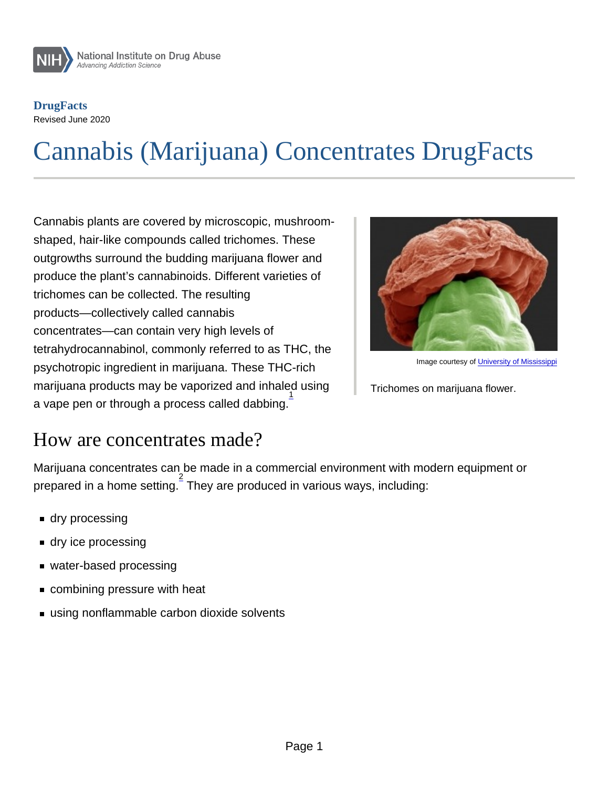# Cannabis (Marijuana) Concentrates DrugFacts

Cannabis plants are covered by microscopic, mushroomshaped, hair-like compounds called trichomes. These outgrowths surround the budding marijuana flower and produce the plant's cannabinoids. Different varieties of trichomes can be collected. The resulting products—collectively called cannabis concentrates—can contain very high levels of tetrahydrocannabinol, commonly referred to as THC, the psychotropic ingredient in marijuana. These THC-rich marijuana products may be vaporized and inhaled using a vape pen or through a process called dabbing.<sup>1</sup>

Image courtesy of [University of Mississippi](http://pharmacy.olemiss.edu/research-cores/sem-core/)

Trichomes on marijuana flower.

#### How are concentrates made?

Marijuana concentrates can be made in a commercial environment with modern equipment or prepared in a home setting. $\frac{2}{3}$  They are produced in various ways, including:

- **dry processing**
- **dry ice processing**
- water-based processing
- combining pressure with heat
- using nonflammable carbon dioxide solvents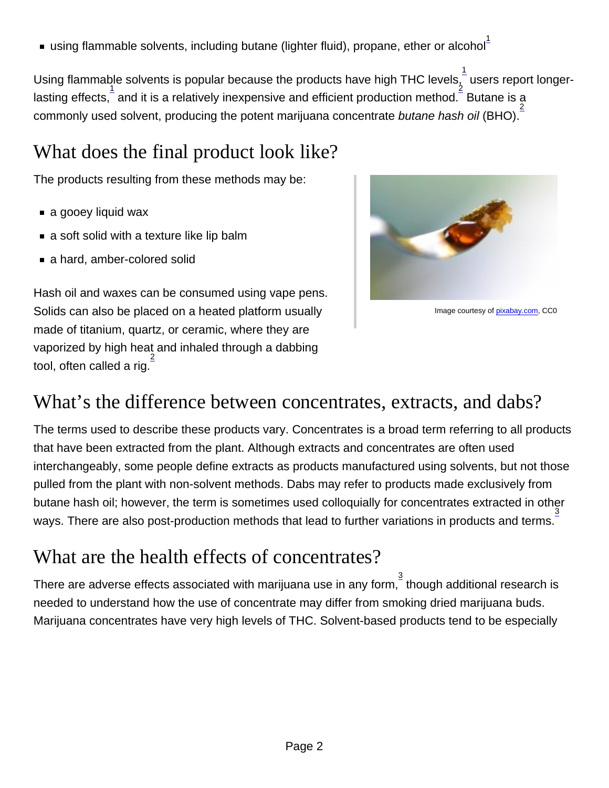using flammable solvents, including butane (lighter fluid), propane, ether or alcohol $^\ddag$ 

Using flammable solvents is popular because the products have high THC levels, $\frac{1}{\imath}$  users report longerlasting effects,  $\frac{1}{2}$  and it is a relatively inexpensive and efficient production method.  $\frac{2}{5}$  Butane is a commonly used solvent, producing the potent marijuana concentrate butane hash oil (BHO).

# What does the final product look like?

The products resulting from these methods may be:

- a gooey liquid wax
- a soft solid with a texture like lip balm
- a hard, amber-colored solid

Hash oil and waxes can be consumed using vape pens. Solids can also be placed on a heated platform usually made of titanium, quartz, or ceramic, where they are vaporized by high heat and inhaled through a dabbing tool, often called a rig.<sup>2</sup>

Image courtesy of [pixabay.com](https://pixabay.com/photos/cannabis-weed-pot-marijuana-3587706/), CC0

## What's the difference between concentrates, extracts, and dabs?

The terms used to describe these products vary. Concentrates is a broad term referring to all products that have been extracted from the plant. Although extracts and concentrates are often used interchangeably, some people define extracts as products manufactured using solvents, but not those pulled from the plant with non-solvent methods. Dabs may refer to products made exclusively from butane hash oil; however, the term is sometimes used colloquially for concentrates extracted in other ways. There are also post-production methods that lead to further variations in products and terms. $\frac{3}{2}$ 

# What are the health effects of concentrates?

There are adverse effects associated with marijuana use in any form,  $\frac{3}{3}$  though additional research is needed to understand how the use of concentrate may differ from smoking dried marijuana buds. Marijuana concentrates have very high levels of THC. Solvent-based products tend to be especially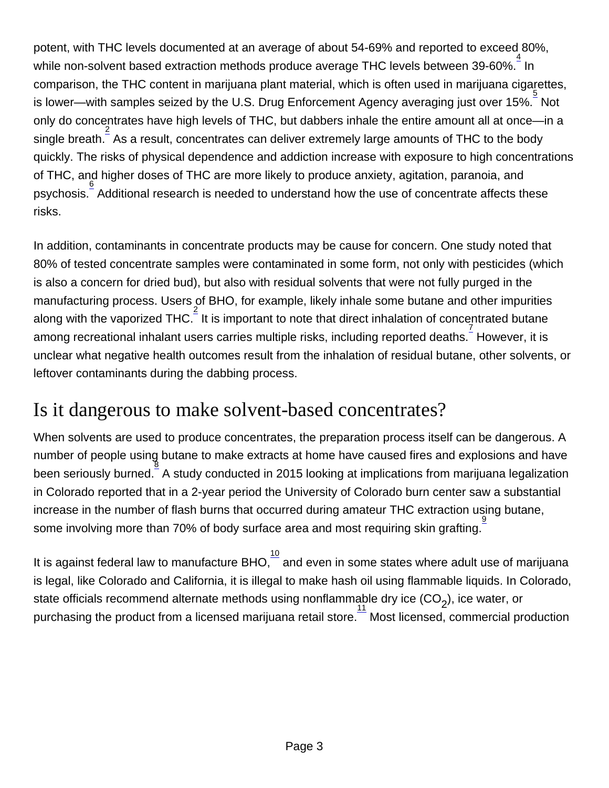potent, with THC levels documented at an average of about 54-69% and reported to exceed 80%, .<br>while non-solvent based extraction methods produce average THC levels between 39-60%. <sup>4</sup> In comparison, the THC content in marijuana plant material, which is often used in marijuana cigarettes, is lower—with samples seized by the U.S. Drug Enforcement Agency averaging just over 15%.  $\frac{5}{5}$  Not only do concentrates have high levels of THC, but dabbers inhale the entire amount all at once—in a single breath.  $\frac{2}{3}$  As a result, concentrates can deliver extremely large amounts of THC to the body quickly. The risks of physical dependence and addiction increase with exposure to high concentrations of THC, and higher doses of THC are more likely to produce anxiety, agitation, paranoia, and psychosis.<sup>6</sup> Additional research is needed to understand how the use of concentrate affects these risks.

In addition, contaminants in concentrate products may be cause for concern. One study noted that 80% of tested concentrate samples were contaminated in some form, not only with pesticides (which is also a concern for dried bud), but also with residual solvents that were not fully purged in the manufacturing process. Users of BHO, for example, likely inhale some butane and other impurities along with the vaporized THC. It is important to note that direct inhalation of concentrated butane among recreational inhalant users carries multiple risks, including reported deaths. I However, it is unclear what negative health outcomes result from the inhalation of residual butane, other solvents, or leftover contaminants during the dabbing process.

## Is it dangerous to make solvent-based concentrates?

When solvents are used to produce concentrates, the preparation process itself can be dangerous. A number of people using butane to make extracts at home have caused fires and explosions and have been seriously burned. 8 A study conducted in 2015 looking at implications from marijuana legalization in Colorado reported that in a 2-year period the University of Colorado burn center saw a substantial increase in the number of flash burns that occurred during amateur THC extraction using butane, some involving more than 70% of body surface area and most requiring skin grafting. 9

It is against federal law to manufacture BHO, $\frac{10}{7}$  and even in some states where adult use of marijuana is legal, like Colorado and California, it is illegal to make hash oil using flammable liquids. In Colorado, state officials recommend alternate methods using nonflammable dry ice (CO<sub>2</sub>), ice water, or purchasing the product from a licensed marijuana retail store.  $\overline{\text{11}}$  Most licensed, commercial production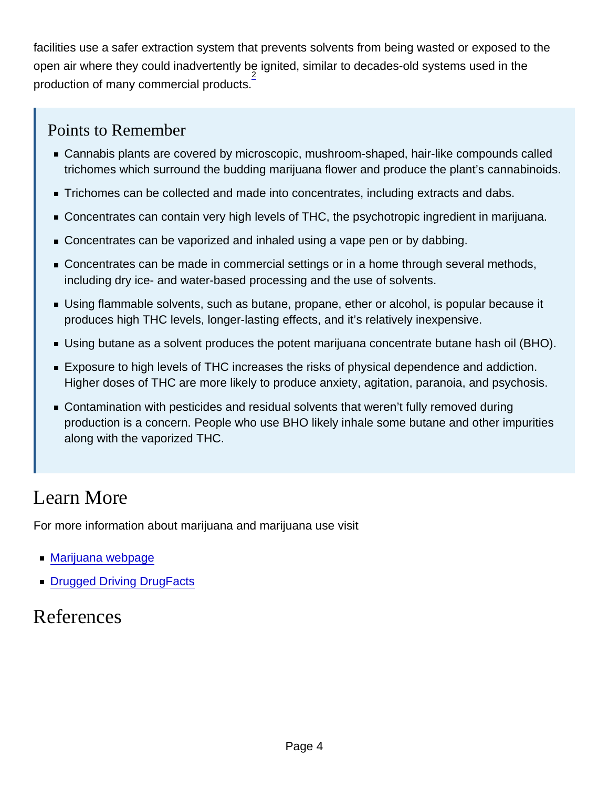facilities use a safer extraction system that prevents solvents from being wasted or exposed to the open air where they could inadvertently be ignited, similar to decades-old systems used in the  $\frac{2}{3}$  production of many commercial products.

#### Points to Remember

- Cannabis plants are covered by microscopic, mushroom-shaped, hair-like compounds called trichomes which surround the budding marijuana flower and produce the plant's cannabinoids.
- Trichomes can be collected and made into concentrates, including extracts and dabs.
- Concentrates can contain very high levels of THC, the psychotropic ingredient in marijuana.
- Concentrates can be vaporized and inhaled using a vape pen or by dabbing.
- **Concentrates can be made in commercial settings or in a home through several methods,** including dry ice- and water-based processing and the use of solvents.
- Using flammable solvents, such as butane, propane, ether or alcohol, is popular because it produces high THC levels, longer-lasting effects, and it's relatively inexpensive.
- Using butane as a solvent produces the potent marijuana concentrate butane hash oil (BHO).
- Exposure to high levels of THC increases the risks of physical dependence and addiction. Higher doses of THC are more likely to produce anxiety, agitation, paranoia, and psychosis.
- Contamination with pesticides and residual solvents that weren't fully removed during production is a concern. People who use BHO likely inhale some butane and other impurities along with the vaporized THC.

## Learn More

For more information about marijuana and marijuana use visit

- **[Marijuana webpage](http://nida.nih.gov/node/334/)**
- [Drugged Driving DrugFacts](http://nida.nih.gov/node/935/)

# References